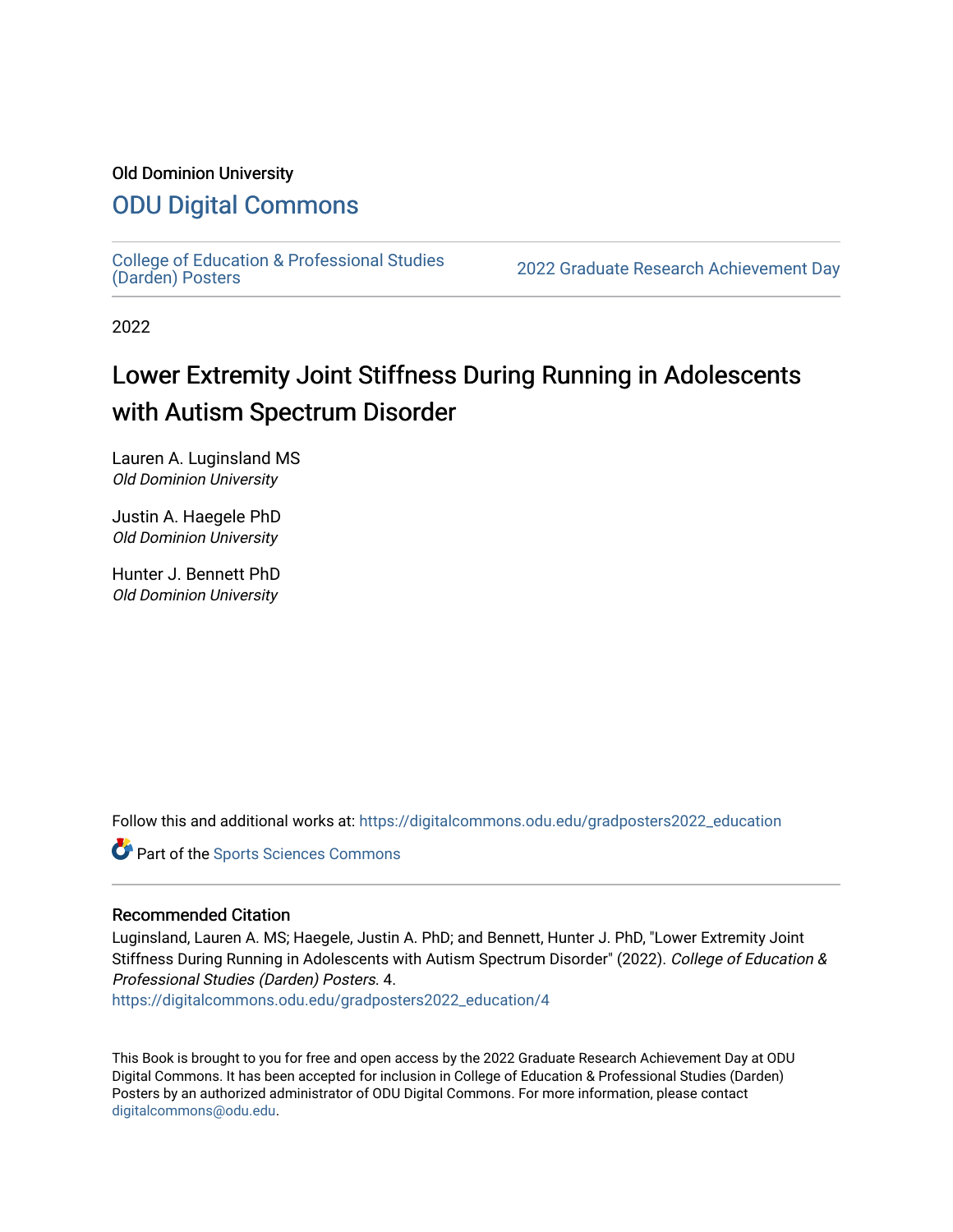### Old Dominion University

### [ODU Digital Commons](https://digitalcommons.odu.edu/)

College of Education & Professional Studies<br>(Darden) Posters

2022 Graduate Research Achievement Day

2022

### Lower Extremity Joint Stiffness During Running in Adolescents with Autism Spectrum Disorder

Lauren A. Luginsland MS Old Dominion University

Justin A. Haegele PhD Old Dominion University

Hunter J. Bennett PhD Old Dominion University

Follow this and additional works at: [https://digitalcommons.odu.edu/gradposters2022\\_education](https://digitalcommons.odu.edu/gradposters2022_education?utm_source=digitalcommons.odu.edu%2Fgradposters2022_education%2F4&utm_medium=PDF&utm_campaign=PDFCoverPages)

**Part of the Sports Sciences Commons** 

### Recommended Citation

Luginsland, Lauren A. MS; Haegele, Justin A. PhD; and Bennett, Hunter J. PhD, "Lower Extremity Joint Stiffness During Running in Adolescents with Autism Spectrum Disorder" (2022). College of Education & Professional Studies (Darden) Posters. 4.

[https://digitalcommons.odu.edu/gradposters2022\\_education/4](https://digitalcommons.odu.edu/gradposters2022_education/4?utm_source=digitalcommons.odu.edu%2Fgradposters2022_education%2F4&utm_medium=PDF&utm_campaign=PDFCoverPages)

This Book is brought to you for free and open access by the 2022 Graduate Research Achievement Day at ODU Digital Commons. It has been accepted for inclusion in College of Education & Professional Studies (Darden) Posters by an authorized administrator of ODU Digital Commons. For more information, please contact [digitalcommons@odu.edu](mailto:digitalcommons@odu.edu).